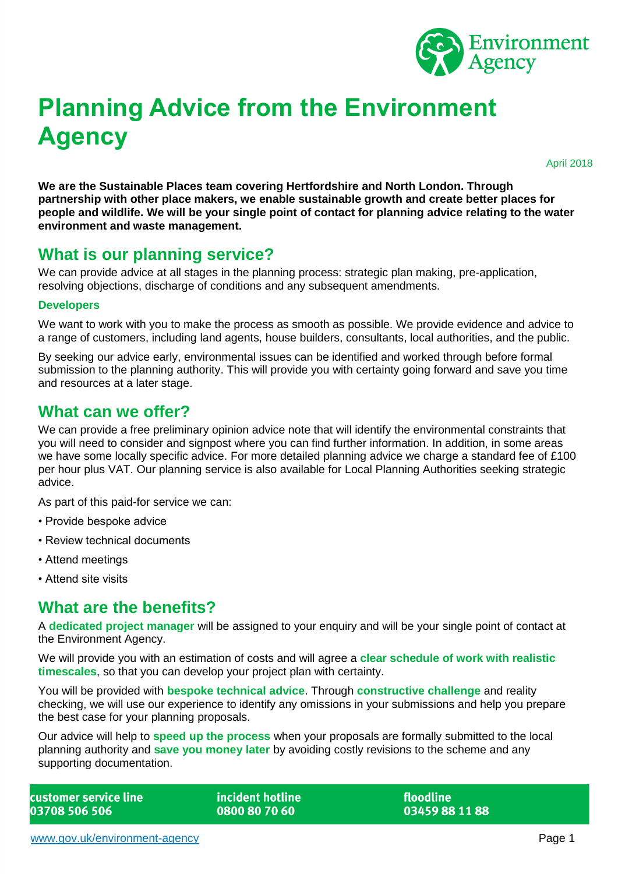

# **Planning Advice from the Environment Agency**

April 2018

**We are the Sustainable Places team covering Hertfordshire and North London. Through partnership with other place makers, we enable sustainable growth and create better places for people and wildlife. We will be your single point of contact for planning advice relating to the water environment and waste management.**

# **What is our planning service?**

We can provide advice at all stages in the planning process: strategic plan making, pre-application, resolving objections, discharge of conditions and any subsequent amendments.

#### **Developers**

We want to work with you to make the process as smooth as possible. We provide evidence and advice to a range of customers, including land agents, house builders, consultants, local authorities, and the public.

By seeking our advice early, environmental issues can be identified and worked through before formal submission to the planning authority. This will provide you with certainty going forward and save you time and resources at a later stage.

### **What can we offer?**

We can provide a free preliminary opinion advice note that will identify the environmental constraints that you will need to consider and signpost where you can find further information. In addition, in some areas we have some locally specific advice. For more detailed planning advice we charge a standard fee of £100 per hour plus VAT. Our planning service is also available for Local Planning Authorities seeking strategic advice.

As part of this paid-for service we can:

- Provide bespoke advice
- Review technical documents
- Attend meetings
- Attend site visits

# **What are the benefits?**

A **dedicated project manager** will be assigned to your enquiry and will be your single point of contact at the Environment Agency.

We will provide you with an estimation of costs and will agree a **clear schedule of work with realistic timescales**, so that you can develop your project plan with certainty.

You will be provided with **bespoke technical advice**. Through **constructive challenge** and reality checking, we will use our experience to identify any omissions in your submissions and help you prepare the best case for your planning proposals.

Our advice will help to **speed up the process** when your proposals are formally submitted to the local planning authority and **save you money later** by avoiding costly revisions to the scheme and any supporting documentation.

customer service line 03708 506 506

incident hotline 0800 80 70 60

floodline 03459 88 11 88